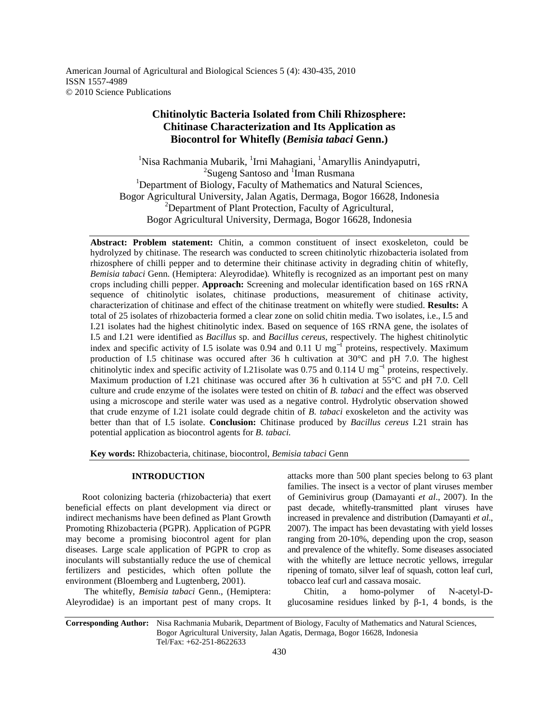American Journal of Agricultural and Biological Sciences 5 (4): 430-435, 2010 ISSN 1557-4989 © 2010 Science Publications

# **Chitinolytic Bacteria Isolated from Chili Rhizosphere: Chitinase Characterization and Its Application as Biocontrol for Whitefly (***Bemisia tabaci* **Genn.)**

<sup>1</sup>Nisa Rachmania Mubarik, <sup>1</sup>Irni Mahagiani, <sup>1</sup>Amaryllis Anindyaputri, <sup>2</sup>Sugeng Santoso and <sup>1</sup>Iman Rusmana <sup>1</sup>Department of Biology, Faculty of Mathematics and Natural Sciences, Bogor Agricultural University, Jalan Agatis, Dermaga, Bogor 16628, Indonesia <sup>2</sup>Department of Plant Protection, Faculty of Agricultural, Bogor Agricultural University, Dermaga, Bogor 16628, Indonesia

**Abstract: Problem statement:** Chitin, a common constituent of insect exoskeleton, could be hydrolyzed by chitinase. The research was conducted to screen chitinolytic rhizobacteria isolated from rhizosphere of chilli pepper and to determine their chitinase activity in degrading chitin of whitefly, *Bemisia tabaci* Genn. (Hemiptera: Aleyrodidae)*.* Whitefly is recognized as an important pest on many crops including chilli pepper. **Approach:** Screening and molecular identification based on 16S rRNA sequence of chitinolytic isolates, chitinase productions, measurement of chitinase activity, characterization of chitinase and effect of the chitinase treatment on whitefly were studied. **Results:** A total of 25 isolates of rhizobacteria formed a clear zone on solid chitin media. Two isolates, i.e., I.5 and I.21 isolates had the highest chitinolytic index. Based on sequence of 16S rRNA gene, the isolates of I.5 and I.21 were identified as *Bacillus* sp. and *Bacillus cereus*, respectively. The highest chitinolytic index and specific activity of I.5 isolate was 0.94 and 0.11 U mg<sup>-1</sup> proteins, respectively. Maximum production of I.5 chitinase was occured after 36 h cultivation at 30°C and pH 7.0. The highest chitinolytic index and specific activity of I.21isolate was 0.75 and 0.114 U mg<sup>-1</sup> proteins, respectively. Maximum production of I.21 chitinase was occured after 36 h cultivation at 55°C and pH 7.0. Cell culture and crude enzyme of the isolates were tested on chitin of *B. tabaci* and the effect was observed using a microscope and sterile water was used as a negative control. Hydrolytic observation showed that crude enzyme of I.21 isolate could degrade chitin of *B. tabaci* exoskeleton and the activity was better than that of I.5 isolate. **Conclusion:** Chitinase produced by *Bacillus cereus* I.21 strain has potential application as biocontrol agents for *B. tabaci.*

**Key words:** Rhizobacteria, chitinase, biocontrol, *Bemisia tabaci* Genn

## **INTRODUCTION**

 Root colonizing bacteria (rhizobacteria) that exert beneficial effects on plant development via direct or indirect mechanisms have been defined as Plant Growth Promoting Rhizobacteria (PGPR). Application of PGPR may become a promising biocontrol agent for plan diseases. Large scale application of PGPR to crop as inoculants will substantially reduce the use of chemical fertilizers and pesticides, which often pollute the environment (Bloemberg and Lugtenberg, 2001).

 The whitefly, *Bemisia tabaci* Genn., (Hemiptera: Aleyrodidae) is an important pest of many crops. It attacks more than 500 plant species belong to 63 plant families. The insect is a vector of plant viruses member of Geminivirus group (Damayanti *et al*., 2007). In the past decade, whitefly-transmitted plant viruses have increased in prevalence and distribution (Damayanti *et al*., 2007). The impact has been devastating with yield losses ranging from 20-10%, depending upon the crop, season and prevalence of the whitefly. Some diseases associated with the whitefly are lettuce necrotic yellows, irregular ripening of tomato, silver leaf of squash, cotton leaf curl, tobacco leaf curl and cassava mosaic.

 Chitin, a homo-polymer of N-acetyl-Dglucosamine residues linked by β-1, 4 bonds, is the

**Corresponding Author:** Nisa Rachmania Mubarik, Department of Biology, Faculty of Mathematics and Natural Sciences, Bogor Agricultural University, Jalan Agatis, Dermaga, Bogor 16628, Indonesia Tel/Fax: +62-251-8622633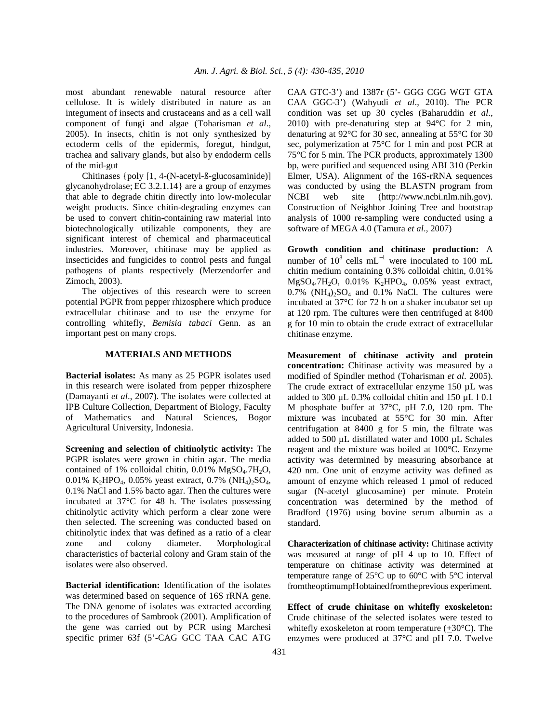most abundant renewable natural resource after cellulose. It is widely distributed in nature as an integument of insects and crustaceans and as a cell wall component of fungi and algae (Toharisman *et al*., 2005). In insects, chitin is not only synthesized by ectoderm cells of the epidermis, foregut, hindgut, trachea and salivary glands, but also by endoderm cells of the mid-gut

 Chitinases {poly [1, 4-(N-acetyl-ß-glucosaminide)] glycanohydrolase; EC 3.2.1.14} are a group of enzymes that able to degrade chitin directly into low-molecular weight products. Since chitin-degrading enzymes can be used to convert chitin-containing raw material into biotechnologically utilizable components, they are significant interest of chemical and pharmaceutical industries. Moreover, chitinase may be applied as insecticides and fungicides to control pests and fungal pathogens of plants respectively (Merzendorfer and Zimoch, 2003).

 The objectives of this research were to screen potential PGPR from pepper rhizosphere which produce extracellular chitinase and to use the enzyme for controlling whitefly, *Bemisia tabaci* Genn. as an important pest on many crops.

## **MATERIALS AND METHODS**

**Bacterial isolates:** As many as 25 PGPR isolates used in this research were isolated from pepper rhizosphere (Damayanti *et al*., 2007). The isolates were collected at IPB Culture Collection, Department of Biology, Faculty of Mathematics and Natural Sciences, Bogor Agricultural University, Indonesia.

**Screening and selection of chitinolytic activity:** The PGPR isolates were grown in chitin agar. The media contained of 1% colloidal chitin,  $0.01\%$  MgSO<sub>4</sub>.7H<sub>2</sub>O, 0.01% K<sub>2</sub>HPO<sub>4</sub>, 0.05% yeast extract, 0.7% (NH<sub>4</sub>)<sub>2</sub>SO<sub>4</sub>, 0.1% NaCl and 1.5% bacto agar. Then the cultures were incubated at 37°C for 48 h. The isolates possessing chitinolytic activity which perform a clear zone were then selected. The screening was conducted based on chitinolytic index that was defined as a ratio of a clear zone and colony diameter. Morphological characteristics of bacterial colony and Gram stain of the isolates were also observed.

**Bacterial identification:** Identification of the isolates was determined based on sequence of 16S rRNA gene. The DNA genome of isolates was extracted according to the procedures of Sambrook (2001). Amplification of the gene was carried out by PCR using Marchesi specific primer 63f (5'-CAG GCC TAA CAC ATG

CAA GTC-3') and 1387r (5'- GGG CGG WGT GTA CAA GGC-3') (Wahyudi *et al*., 2010). The PCR condition was set up 30 cycles (Baharuddin *et al*., 2010) with pre-denaturing step at 94°C for 2 min, denaturing at 92°C for 30 sec, annealing at 55°C for 30 sec, polymerization at 75°C for 1 min and post PCR at 75°C for 5 min. The PCR products, approximately 1300 bp, were purified and sequenced using ABI 310 (Perkin Elmer, USA). Alignment of the 16S-rRNA sequences was conducted by using the BLASTN program from NCBI web site (http://www.ncbi.nlm.nih.gov). Construction of Neighbor Joining Tree and bootstrap analysis of 1000 re-sampling were conducted using a software of MEGA 4.0 (Tamura *et al*., 2007)

**Growth condition and chitinase production:** A number of  $10^8$  cells mL<sup>-1</sup> were inoculated to 100 mL chitin medium containing 0.3% colloidal chitin, 0.01%  $MgSO<sub>4</sub>.7H<sub>2</sub>O$ , 0.01%  $K<sub>2</sub>HPO<sub>4</sub>$ , 0.05% yeast extract,  $0.7\%$  (NH<sub>4</sub>)<sub>2</sub>SO<sub>4</sub> and 0.1% NaCl. The cultures were incubated at 37°C for 72 h on a shaker incubator set up at 120 rpm. The cultures were then centrifuged at 8400 g for 10 min to obtain the crude extract of extracellular chitinase enzyme.

**Measurement of chitinase activity and protein concentration:** Chitinase activity was measured by a modified of Spindler method (Toharisman *et al*. 2005). The crude extract of extracellular enzyme 150 µL was added to 300 µL 0.3% colloidal chitin and 150 µL l 0.1 M phosphate buffer at 37°C, pH 7.0, 120 rpm. The mixture was incubated at 55°C for 30 min. After centrifugation at 8400 g for 5 min, the filtrate was added to 500 µL distillated water and 1000 µL Schales reagent and the mixture was boiled at 100°C. Enzyme activity was determined by measuring absorbance at 420 nm. One unit of enzyme activity was defined as amount of enzyme which released 1 µmol of reduced sugar (N-acetyl glucosamine) per minute. Protein concentration was determined by the method of Bradford (1976) using bovine serum albumin as a standard.

**Characterization of chitinase activity:** Chitinase activity was measured at range of pH 4 up to 10. Effect of temperature on chitinase activity was determined at temperature range of 25°C up to 60°C with 5°C interval from the optimum pH obtained from the previous experiment.

**Effect of crude chinitase on whitefly exoskeleton:** Crude chitinase of the selected isolates were tested to whitefly exoskeleton at room temperature (+30°C). The enzymes were produced at 37°C and pH 7.0. Twelve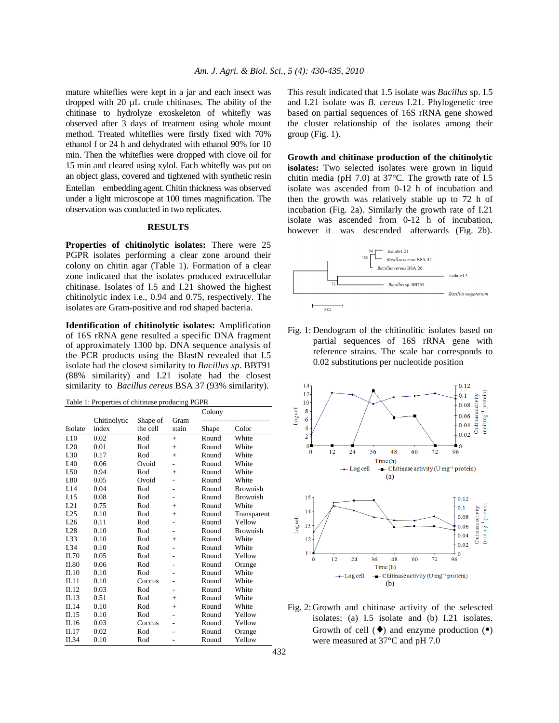mature whiteflies were kept in a jar and each insect was dropped with 20 µL crude chitinases. The ability of the chitinase to hydrolyze exoskeleton of whitefly was observed after 3 days of treatment using whole mount method. Treated whiteflies were firstly fixed with 70% ethanol f or 24 h and dehydrated with ethanol 90% for 10 min. Then the whiteflies were dropped with clove oil for 15 min and cleared using xylol. Each whitefly was put on an object glass, covered and tightened with synthetic resin Entellan®embedding agent. Chitin thickness was observed under a light microscope at 100 times magnification. The observation was conducted in two replicates.

### **RESULTS**

**Properties of chitinolytic isolates:** There were 25 PGPR isolates performing a clear zone around their colony on chitin agar (Table 1). Formation of a clear zone indicated that the isolates produced extracellular chitinase. Isolates of I.5 and I.21 showed the highest chitinolytic index i.e., 0.94 and 0.75, respectively. The isolates are Gram-positive and rod shaped bacteria.

**Identification of chitinolytic isolates:** Amplification of 16S rRNA gene resulted a specific DNA fragment of approximately 1300 bp. DNA sequence analysis of the PCR products using the BlastN revealed that I.5 isolate had the closest similarity to *Bacillus sp.* BBT91 (88% similarity) and I.21 isolate had the closest similarity to *Bacillus cereus* BSA 37 (93% similarity).

| Table 1: Properties of chitinase producing PGPR |  |  |  |  |
|-------------------------------------------------|--|--|--|--|
|-------------------------------------------------|--|--|--|--|

|         |              |          |        | Colony |                 |
|---------|--------------|----------|--------|--------|-----------------|
|         | Chitinolytic | Shape of | Gram   |        |                 |
| Isolate | index        | the cell | stain  | Shape  | Color           |
| I.10    | 0.02         | Rod      | $+$    | Round  | White           |
| I.20    | 0.01         | Rod      | $+$    | Round  | White           |
| I.30    | 0.17         | Rod      | $+$    | Round  | White           |
| I.40    | 0.06         | Ovoid    |        | Round  | White           |
| I.50    | 0.94         | Rod      | $^{+}$ | Round  | White           |
| I.80    | 0.05         | Ovoid    |        | Round  | White           |
| I.14    | 0.04         | Rod      |        | Round  | <b>Brownish</b> |
| I.15    | 0.08         | Rod      |        | Round  | <b>Brownish</b> |
| I.21    | 0.75         | Rod      | $+$    | Round  | White           |
| I.25    | 0.10         | Rod      | $+$    | Round  | Transparent     |
| I.26    | 0.11         | Rod      |        | Round  | Yellow          |
| I.28    | 0.10         | Rod      |        | Round  | <b>Brownish</b> |
| I.33    | 0.10         | Rod      | $+$    | Round  | White           |
| I.34    | 0.10         | Rod      |        | Round  | White           |
| II.70   | 0.05         | Rod      |        | Round  | Yellow          |
| II.80   | 0.06         | Rod      |        | Round  | Orange          |
| II.10   | 0.10         | Rod      |        | Round  | White           |
| II.11   | 0.10         | Coccus   |        | Round  | White           |
| II.12   | 0.03         | Rod      |        | Round  | White           |
| II.13   | 0.51         | Rod      | $+$    | Round  | White           |
| II.14   | 0.10         | Rod      | $+$    | Round  | White           |
| II.15   | 0.10         | Rod      |        | Round  | Yellow          |
| II.16   | 0.03         | Coccus   |        | Round  | Yellow          |
| II.17   | 0.02         | Rod      |        | Round  | Orange          |
| II.34   | 0.10         | Rod      |        | Round  | Yellow          |

This result indicated that 1.5 isolate was *Bacillus* sp. I.5 and I.21 isolate was *B. cereus* I.21. Phylogenetic tree based on partial sequences of 16S rRNA gene showed the cluster relationship of the isolates among their group (Fig. 1).

**Growth and chitinase production of the chitinolytic isolates:** Two selected isolates were grown in liquid chitin media (pH 7.0) at 37°C. The growth rate of I.5 isolate was ascended from 0-12 h of incubation and then the growth was relatively stable up to 72 h of incubation (Fig. 2a). Similarly the growth rate of I.21 isolate was ascended from 0-12 h of incubation, however it was descended afterwards (Fig. 2b).



Fig. 1: Dendogram of the chitinolitic isolates based on partial sequences of 16S rRNA gene with reference strains. The scale bar corresponds to 0.02 substitutions per nucleotide position



Fig. 2: Growth and chitinase activity of the selescted isolates; (a) I.5 isolate and (b) I.21 isolates. Growth of cell  $(\bullet)$  and enzyme production  $(\bullet)$ were measured at 37°C and pH 7.0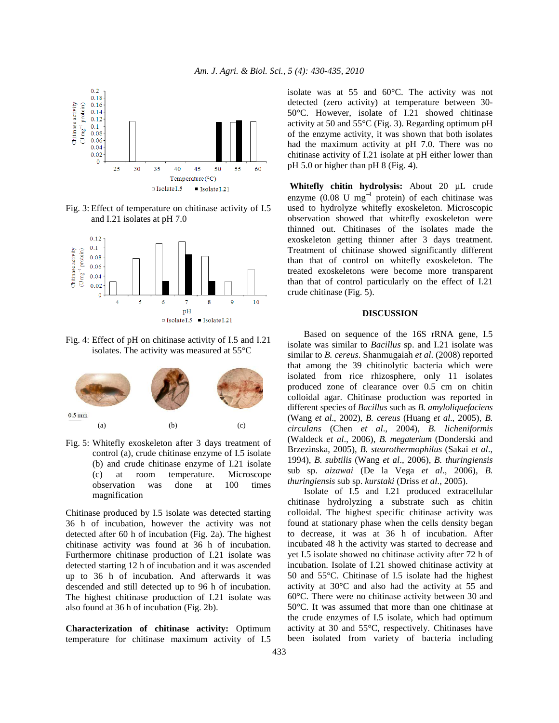

Fig. 3: Effect of temperature on chitinase activity of I.5 and I.21 isolates at pH 7.0



Fig. 4: Effect of pH on chitinase activity of I.5 and I.21 isolates. The activity was measured at 55°C



Fig. 5: Whitefly exoskeleton after 3 days treatment of control (a), crude chitinase enzyme of I.5 isolate (b) and crude chitinase enzyme of I.21 isolate (c) at room temperature. Microscope observation was done at 100 times magnification

Chitinase produced by I.5 isolate was detected starting 36 h of incubation, however the activity was not detected after 60 h of incubation (Fig. 2a). The highest chitinase activity was found at 36 h of incubation. Furthermore chitinase production of I.21 isolate was detected starting 12 h of incubation and it was ascended up to 36 h of incubation. And afterwards it was descended and still detected up to 96 h of incubation. The highest chitinase production of I.21 isolate was also found at 36 h of incubation (Fig. 2b).

**Characterization of chitinase activity:** Optimum temperature for chitinase maximum activity of I.5 isolate was at 55 and 60°C. The activity was not detected (zero activity) at temperature between 30- 50°C. However, isolate of I.21 showed chitinase activity at 50 and 55°C (Fig. 3). Regarding optimum pH of the enzyme activity, it was shown that both isolates had the maximum activity at pH 7.0. There was no chitinase activity of I.21 isolate at pH either lower than pH 5.0 or higher than pH 8 (Fig. 4).

**Whitefly chitin hydrolysis:** About 20 µL crude enzyme  $(0.08 \text{ U} \text{ mg}^{-1} \text{ protein})$  of each chitinase was used to hydrolyze whitefly exoskeleton. Microscopic observation showed that whitefly exoskeleton were thinned out. Chitinases of the isolates made the exoskeleton getting thinner after 3 days treatment. Treatment of chitinase showed significantly different than that of control on whitefly exoskeleton. The treated exoskeletons were become more transparent than that of control particularly on the effect of I.21 crude chitinase (Fig. 5).

#### **DISCUSSION**

 Based on sequence of the 16S rRNA gene, I.5 isolate was similar to *Bacillus* sp. and I.21 isolate was similar to *B. cereus*. Shanmugaiah *et al*. (2008) reported that among the 39 chitinolytic bacteria which were isolated from rice rhizosphere, only 11 isolates produced zone of clearance over 0.5 cm on chitin colloidal agar. Chitinase production was reported in different species of *Bacillus* such as *B. amyloliquefaciens*  (Wang *et al*., 2002), *B. cereus* (Huang *et al*., 2005), *B. circulans* (Chen *et al*., 2004), *B. licheniformis*  (Waldeck *et al*., 2006), *B. megaterium* (Donderski and Brzezinska, 2005), *B. stearothermophilus* (Sakai *et al*., 1994), *B. subtilis* (Wang *et al*., 2006), *B. thuringiensis*  sub sp. *aizawai* (De la Vega *et al*., 2006), *B. thuringiensis* sub sp. *kurstaki* (Driss *et al*., 2005).

 Isolate of I.5 and I.21 produced extracellular chitinase hydrolyzing a substrate such as chitin colloidal. The highest specific chitinase activity was found at stationary phase when the cells density began to decrease, it was at 36 h of incubation. After incubated 48 h the activity was started to decrease and yet I.5 isolate showed no chitinase activity after 72 h of incubation. Isolate of I.21 showed chitinase activity at 50 and 55°C. Chitinase of I.5 isolate had the highest activity at 30°C and also had the activity at 55 and 60°C. There were no chitinase activity between 30 and 50°C. It was assumed that more than one chitinase at the crude enzymes of I.5 isolate, which had optimum activity at 30 and 55°C, respectively. Chitinases have been isolated from variety of bacteria including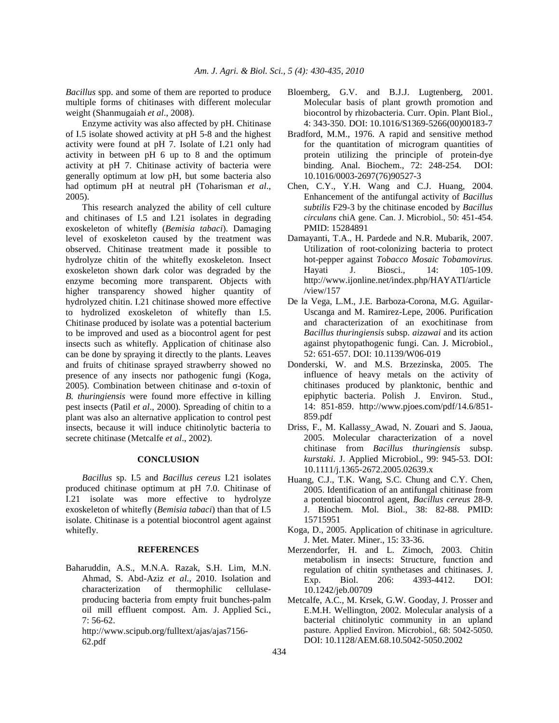*Bacillus* spp. and some of them are reported to produce multiple forms of chitinases with different molecular weight (Shanmugaiah *et al*., 2008).

 Enzyme activity was also affected by pH. Chitinase of I.5 isolate showed activity at pH 5-8 and the highest activity were found at pH 7. Isolate of I.21 only had activity in between pH 6 up to 8 and the optimum activity at pH 7. Chitinase activity of bacteria were generally optimum at low pH, but some bacteria also had optimum pH at neutral pH (Toharisman *et al*., 2005).

 This research analyzed the ability of cell culture and chitinases of I.5 and I.21 isolates in degrading exoskeleton of whitefly (*Bemisia tabaci*). Damaging level of exoskeleton caused by the treatment was observed. Chitinase treatment made it possible to hydrolyze chitin of the whitefly exoskeleton. Insect exoskeleton shown dark color was degraded by the enzyme becoming more transparent. Objects with higher transparency showed higher quantity of hydrolyzed chitin. I.21 chitinase showed more effective to hydrolized exoskeleton of whitefly than I.5. Chitinase produced by isolate was a potential bacterium to be improved and used as a biocontrol agent for pest insects such as whitefly*.* Application of chitinase also can be done by spraying it directly to the plants. Leaves and fruits of chitinase sprayed strawberry showed no presence of any insects nor pathogenic fungi (Koga, 2005). Combination between chitinase and σ-toxin of *B. thuringiensis* were found more effective in killing pest insects (Patil *et al*., 2000). Spreading of chitin to a plant was also an alternative application to control pest insects, because it will induce chitinolytic bacteria to secrete chitinase (Metcalfe *et al*., 2002).

### **CONCLUSION**

 *Bacillus* sp. I.5 and *Bacillus cereus* I.21 isolates produced chitinase optimum at pH 7.0. Chitinase of I.21 isolate was more effective to hydrolyze exoskeleton of whitefly (*Bemisia tabaci*) than that of I.5 isolate. Chitinase is a potential biocontrol agent against whitefly.

#### **REFERENCES**

Baharuddin, A.S., M.N.A. Razak, S.H. Lim, M.N. Ahmad, S. Abd-Aziz *et al*., 2010. Isolation and characterization of thermophilic cellulaseproducing bacteria from empty fruit bunches-palm oil mill effluent compost. Am. J. Applied Sci., 7: 56-62.

http://www.scipub.org/fulltext/ajas/ajas7156- 62.pdf

- Bloemberg, G.V. and B.J.J. Lugtenberg, 2001. Molecular basis of plant growth promotion and biocontrol by rhizobacteria. Curr. Opin. Plant Biol., 4: 343-350. DOI: 10.1016/S1369-5266(00)00183-7
- Bradford, M.M., 1976. A rapid and sensitive method for the quantitation of microgram quantities of protein utilizing the principle of protein-dye binding. Anal. Biochem., 72: 248-254. DOI: 10.1016/0003-2697(76)90527-3
- Chen, C.Y., Y.H. Wang and C.J. Huang, 2004. Enhancement of the antifungal activity of *Bacillus subtilis* F29-3 by the chitinase encoded by *Bacillus circulans* chiA gene. Can. J. Microbiol., 50: 451-454. PMID: 15284891
- Damayanti, T.A., H. Pardede and N.R. Mubarik, 2007. Utilization of root-colonizing bacteria to protect hot-pepper against *Tobacco Mosaic Tobamovirus.*  Hayati J. Biosci., 14: 105-109. http://www.ijonline.net/index.php/HAYATI/article /view/157
- De la Vega, L.M., J.E. Barboza-Corona, M.G. Aguilar-Uscanga and M. Ramirez-Lepe, 2006. Purification and characterization of an exochitinase from *Bacillus thuringiensis* subsp. *aizawai* and its action against phytopathogenic fungi. Can. J. Microbiol., 52: 651-657. DOI: 10.1139/W06-019
- Donderski, W. and M.S. Brzezinska, 2005. The influence of heavy metals on the activity of chitinases produced by planktonic, benthic and epiphytic bacteria. Polish J. Environ. Stud., 14: 851-859. http://www.pjoes.com/pdf/14.6/851- 859.pdf
- Driss, F., M. Kallassy\_Awad, N. Zouari and S. Jaoua, 2005. Molecular characterization of a novel chitinase from *Bacillus thuringiensis* subsp. *kurstaki*. J. Applied Microbiol., 99: 945-53. DOI: 10.1111/j.1365-2672.2005.02639.x
- Huang, C.J., T.K. Wang, S.C. Chung and C.Y. Chen, 2005. Identification of an antifungal chitinase from a potential biocontrol agent, *Bacillus cereus* 28-9. J. Biochem. Mol. Biol., 38: 82-88. PMID: 15715951
- Koga, D., 2005. Application of chitinase in agriculture. J. Met. Mater. Miner., 15: 33-36.
- Merzendorfer, H. and L. Zimoch, 2003. Chitin metabolism in insects: Structure, function and regulation of chitin synthetases and chitinases. J. Exp. Biol. 206: 4393-4412. DOI: 10.1242/jeb.00709
- Metcalfe, A.C., M. Krsek, G.W. Gooday, J. Prosser and E.M.H. Wellington, 2002. Molecular analysis of a bacterial chitinolytic community in an upland pasture. Applied Environ. Microbiol., 68: 5042-5050. DOI: 10.1128/AEM.68.10.5042-5050.2002